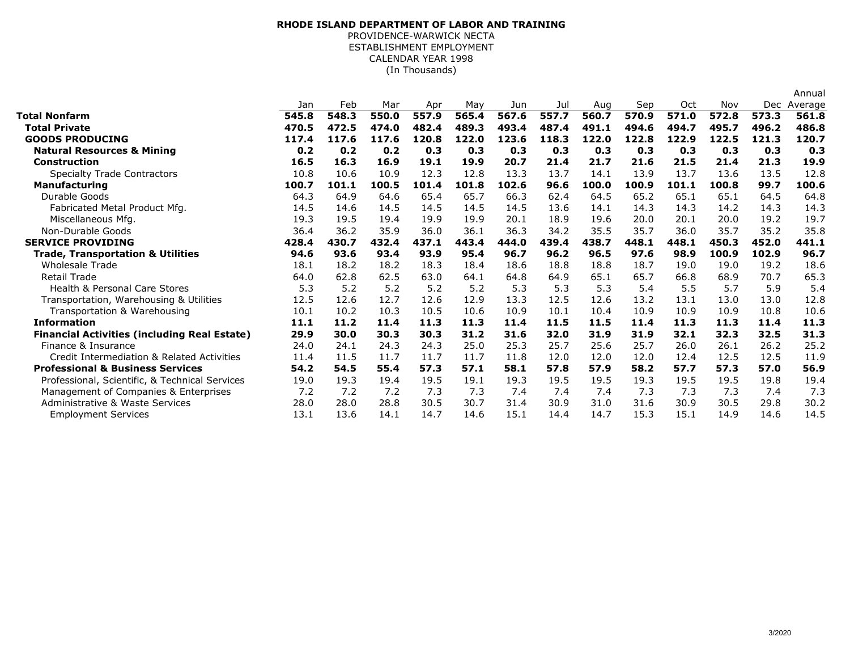## (In Thousands)**RHODE ISLAND DEPARTMENT OF LABOR AND TRAINING**PROVIDENCE-WARWICK NECTA ESTABLISHMENT EMPLOYMENTCALENDAR YEAR 1998

|                                                     |       |       |       |       |       |       |       |       |       |       |       |       | Annual  |
|-----------------------------------------------------|-------|-------|-------|-------|-------|-------|-------|-------|-------|-------|-------|-------|---------|
|                                                     | Jan   | Feb   | Mar   | Apr   | May   | Jun   | Jul   | Aug   | Sep   | Oct   | Nov   | Dec   | Average |
| Total Nonfarm                                       | 545.8 | 548.3 | 550.0 | 557.9 | 565.4 | 567.6 | 557.7 | 560.7 | 570.9 | 571.0 | 572.8 | 573.3 | 561.8   |
| <b>Total Private</b>                                | 470.5 | 472.5 | 474.0 | 482.4 | 489.3 | 493.4 | 487.4 | 491.1 | 494.6 | 494.7 | 495.7 | 496.2 | 486.8   |
| <b>GOODS PRODUCING</b>                              | 117.4 | 117.6 | 117.6 | 120.8 | 122.0 | 123.6 | 118.3 | 122.0 | 122.8 | 122.9 | 122.5 | 121.3 | 120.7   |
| <b>Natural Resources &amp; Mining</b>               | 0.2   | 0.2   | 0.2   | 0.3   | 0.3   | 0.3   | 0.3   | 0.3   | 0.3   | 0.3   | 0.3   | 0.3   | 0.3     |
| <b>Construction</b>                                 | 16.5  | 16.3  | 16.9  | 19.1  | 19.9  | 20.7  | 21.4  | 21.7  | 21.6  | 21.5  | 21.4  | 21.3  | 19.9    |
| <b>Specialty Trade Contractors</b>                  | 10.8  | 10.6  | 10.9  | 12.3  | 12.8  | 13.3  | 13.7  | 14.1  | 13.9  | 13.7  | 13.6  | 13.5  | 12.8    |
| <b>Manufacturing</b>                                | 100.7 | 101.1 | 100.5 | 101.4 | 101.8 | 102.6 | 96.6  | 100.0 | 100.9 | 101.1 | 100.8 | 99.7  | 100.6   |
| Durable Goods                                       | 64.3  | 64.9  | 64.6  | 65.4  | 65.7  | 66.3  | 62.4  | 64.5  | 65.2  | 65.1  | 65.1  | 64.5  | 64.8    |
| Fabricated Metal Product Mfg.                       | 14.5  | 14.6  | 14.5  | 14.5  | 14.5  | 14.5  | 13.6  | 14.1  | 14.3  | 14.3  | 14.2  | 14.3  | 14.3    |
| Miscellaneous Mfg.                                  | 19.3  | 19.5  | 19.4  | 19.9  | 19.9  | 20.1  | 18.9  | 19.6  | 20.0  | 20.1  | 20.0  | 19.2  | 19.7    |
| Non-Durable Goods                                   | 36.4  | 36.2  | 35.9  | 36.0  | 36.1  | 36.3  | 34.2  | 35.5  | 35.7  | 36.0  | 35.7  | 35.2  | 35.8    |
| <b>SERVICE PROVIDING</b>                            | 428.4 | 430.7 | 432.4 | 437.1 | 443.4 | 444.0 | 439.4 | 438.7 | 448.1 | 448.1 | 450.3 | 452.0 | 441.1   |
| <b>Trade, Transportation &amp; Utilities</b>        | 94.6  | 93.6  | 93.4  | 93.9  | 95.4  | 96.7  | 96.2  | 96.5  | 97.6  | 98.9  | 100.9 | 102.9 | 96.7    |
| <b>Wholesale Trade</b>                              | 18.1  | 18.2  | 18.2  | 18.3  | 18.4  | 18.6  | 18.8  | 18.8  | 18.7  | 19.0  | 19.0  | 19.2  | 18.6    |
| <b>Retail Trade</b>                                 | 64.0  | 62.8  | 62.5  | 63.0  | 64.1  | 64.8  | 64.9  | 65.1  | 65.7  | 66.8  | 68.9  | 70.7  | 65.3    |
| Health & Personal Care Stores                       | 5.3   | 5.2   | 5.2   | 5.2   | 5.2   | 5.3   | 5.3   | 5.3   | 5.4   | 5.5   | 5.7   | 5.9   | 5.4     |
| Transportation, Warehousing & Utilities             | 12.5  | 12.6  | 12.7  | 12.6  | 12.9  | 13.3  | 12.5  | 12.6  | 13.2  | 13.1  | 13.0  | 13.0  | 12.8    |
| Transportation & Warehousing                        | 10.1  | 10.2  | 10.3  | 10.5  | 10.6  | 10.9  | 10.1  | 10.4  | 10.9  | 10.9  | 10.9  | 10.8  | 10.6    |
| <b>Information</b>                                  | 11.1  | 11.2  | 11.4  | 11.3  | 11.3  | 11.4  | 11.5  | 11.5  | 11.4  | 11.3  | 11.3  | 11.4  | 11.3    |
| <b>Financial Activities (including Real Estate)</b> | 29.9  | 30.0  | 30.3  | 30.3  | 31.2  | 31.6  | 32.0  | 31.9  | 31.9  | 32.1  | 32.3  | 32.5  | 31.3    |
| Finance & Insurance                                 | 24.0  | 24.1  | 24.3  | 24.3  | 25.0  | 25.3  | 25.7  | 25.6  | 25.7  | 26.0  | 26.1  | 26.2  | 25.2    |
| Credit Intermediation & Related Activities          | 11.4  | 11.5  | 11.7  | 11.7  | 11.7  | 11.8  | 12.0  | 12.0  | 12.0  | 12.4  | 12.5  | 12.5  | 11.9    |
| <b>Professional &amp; Business Services</b>         | 54.2  | 54.5  | 55.4  | 57.3  | 57.1  | 58.1  | 57.8  | 57.9  | 58.2  | 57.7  | 57.3  | 57.0  | 56.9    |
| Professional, Scientific, & Technical Services      | 19.0  | 19.3  | 19.4  | 19.5  | 19.1  | 19.3  | 19.5  | 19.5  | 19.3  | 19.5  | 19.5  | 19.8  | 19.4    |
| Management of Companies & Enterprises               | 7.2   | 7.2   | 7.2   | 7.3   | 7.3   | 7.4   | 7.4   | 7.4   | 7.3   | 7.3   | 7.3   | 7.4   | 7.3     |
| Administrative & Waste Services                     | 28.0  | 28.0  | 28.8  | 30.5  | 30.7  | 31.4  | 30.9  | 31.0  | 31.6  | 30.9  | 30.5  | 29.8  | 30.2    |
| <b>Employment Services</b>                          | 13.1  | 13.6  | 14.1  | 14.7  | 14.6  | 15.1  | 14.4  | 14.7  | 15.3  | 15.1  | 14.9  | 14.6  | 14.5    |
|                                                     |       |       |       |       |       |       |       |       |       |       |       |       |         |